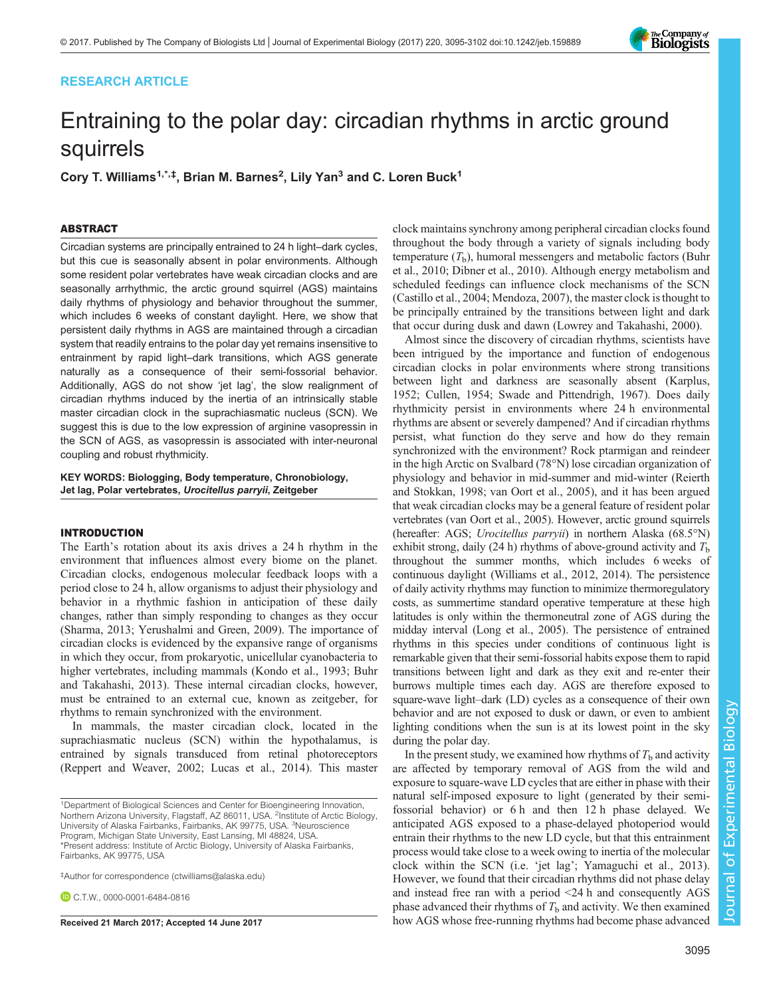# RESEARCH ARTICLE

# Entraining to the polar day: circadian rhythms in arctic ground squirrels

Cory T. Williams<sup>1,\*,‡</sup>, Brian M. Barnes<sup>2</sup>, Lily Yan<sup>3</sup> and C. Loren Buck<sup>1</sup>

# ABSTRACT

Circadian systems are principally entrained to 24 h light–dark cycles, but this cue is seasonally absent in polar environments. Although some resident polar vertebrates have weak circadian clocks and are seasonally arrhythmic, the arctic ground squirrel (AGS) maintains daily rhythms of physiology and behavior throughout the summer, which includes 6 weeks of constant daylight. Here, we show that persistent daily rhythms in AGS are maintained through a circadian system that readily entrains to the polar day yet remains insensitive to entrainment by rapid light–dark transitions, which AGS generate naturally as a consequence of their semi-fossorial behavior. Additionally, AGS do not show 'jet lag', the slow realignment of circadian rhythms induced by the inertia of an intrinsically stable master circadian clock in the suprachiasmatic nucleus (SCN). We suggest this is due to the low expression of arginine vasopressin in the SCN of AGS, as vasopressin is associated with inter-neuronal coupling and robust rhythmicity.

KEY WORDS: Biologging, Body temperature, Chronobiology, Jet lag, Polar vertebrates, Urocitellus parryii, Zeitgeber

# INTRODUCTION

The Earth's rotation about its axis drives a 24 h rhythm in the environment that influences almost every biome on the planet. Circadian clocks, endogenous molecular feedback loops with a period close to 24 h, allow organisms to adjust their physiology and behavior in a rhythmic fashion in anticipation of these daily changes, rather than simply responding to changes as they occur [\(Sharma, 2013](#page-7-0); [Yerushalmi and Green, 2009\)](#page-7-0). The importance of circadian clocks is evidenced by the expansive range of organisms in which they occur, from prokaryotic, unicellular cyanobacteria to higher vertebrates, including mammals ([Kondo et al., 1993](#page-7-0); [Buhr](#page-6-0) [and Takahashi, 2013](#page-6-0)). These internal circadian clocks, however, must be entrained to an external cue, known as zeitgeber, for rhythms to remain synchronized with the environment.

In mammals, the master circadian clock, located in the suprachiasmatic nucleus (SCN) within the hypothalamus, is entrained by signals transduced from retinal photoreceptors [\(Reppert and Weaver, 2002; Lucas et al., 2014\)](#page-7-0). This master

‡ Author for correspondence ([ctwilliams@alaska.edu](mailto:ctwilliams@alaska.edu))

C.T.W., [0000-0001-6484-0816](http://orcid.org/0000-0001-6484-0816)

clock maintains synchrony among peripheral circadian clocks found throughout the body through a variety of signals including body temperature  $(T<sub>b</sub>)$ , humoral messengers and metabolic factors [\(Buhr](#page-6-0) [et al., 2010](#page-6-0); [Dibner et al., 2010\)](#page-7-0). Although energy metabolism and scheduled feedings can influence clock mechanisms of the SCN [\(Castillo et al., 2004;](#page-6-0) [Mendoza, 2007](#page-7-0)), the master clock is thought to be principally entrained by the transitions between light and dark that occur during dusk and dawn [\(Lowrey and Takahashi, 2000\)](#page-7-0).

Almost since the discovery of circadian rhythms, scientists have been intrigued by the importance and function of endogenous circadian clocks in polar environments where strong transitions between light and darkness are seasonally absent ([Karplus,](#page-7-0) [1952;](#page-7-0) [Cullen, 1954](#page-6-0); [Swade and Pittendrigh, 1967](#page-7-0)). Does daily rhythmicity persist in environments where 24 h environmental rhythms are absent or severely dampened? And if circadian rhythms persist, what function do they serve and how do they remain synchronized with the environment? Rock ptarmigan and reindeer in the high Arctic on Svalbard (78°N) lose circadian organization of physiology and behavior in mid-summer and mid-winter ([Reierth](#page-7-0) [and Stokkan, 1998; van Oort et al., 2005](#page-7-0)), and it has been argued that weak circadian clocks may be a general feature of resident polar vertebrates [\(van Oort et al., 2005\)](#page-7-0). However, arctic ground squirrels (hereafter: AGS; Urocitellus parryii) in northern Alaska (68.5°N) exhibit strong, daily (24 h) rhythms of above-ground activity and  $T<sub>b</sub>$ throughout the summer months, which includes 6 weeks of continuous daylight ([Williams et al., 2012, 2014](#page-7-0)). The persistence of daily activity rhythms may function to minimize thermoregulatory costs, as summertime standard operative temperature at these high latitudes is only within the thermoneutral zone of AGS during the midday interval [\(Long et al., 2005](#page-7-0)). The persistence of entrained rhythms in this species under conditions of continuous light is remarkable given that their semi-fossorial habits expose them to rapid transitions between light and dark as they exit and re-enter their burrows multiple times each day. AGS are therefore exposed to square-wave light–dark (LD) cycles as a consequence of their own behavior and are not exposed to dusk or dawn, or even to ambient lighting conditions when the sun is at its lowest point in the sky during the polar day.

In the present study, we examined how rhythms of  $T<sub>b</sub>$  and activity are affected by temporary removal of AGS from the wild and exposure to square-wave LD cycles that are either in phase with their natural self-imposed exposure to light (generated by their semifossorial behavior) or 6 h and then 12 h phase delayed. We anticipated AGS exposed to a phase-delayed photoperiod would entrain their rhythms to the new LD cycle, but that this entrainment process would take close to a week owing to inertia of the molecular clock within the SCN (i.e. 'jet lag'; [Yamaguchi et al., 2013\)](#page-7-0). However, we found that their circadian rhythms did not phase delay and instead free ran with a period <24 h and consequently AGS phase advanced their rhythms of  $T<sub>b</sub>$  and activity. We then examined Received 21 March 2017; Accepted 14 June 2017 how AGS whose free-running rhythms had become phase advanced



<sup>&</sup>lt;sup>1</sup>Department of Biological Sciences and Center for Bioengineering Innovation, Northern Arizona University, Flagstaff, AZ 86011, USA. <sup>2</sup>Institute of Arctic Biology, University of Alaska Fairbanks, Fairbanks, AK 99775, USA. <sup>3</sup>Neuroscience Program, Michigan State University, East Lansing, MI 48824, USA. \*Present address: Institute of Arctic Biology, University of Alaska Fairbanks, Fairbanks, AK 99775, USA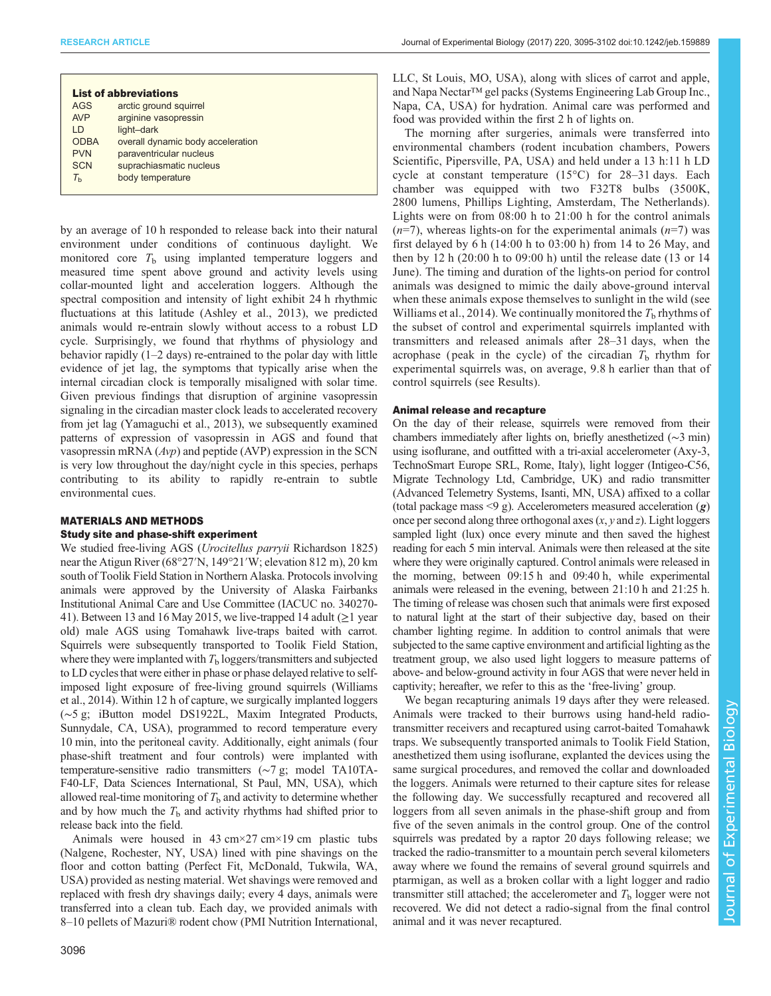| <b>List of abbreviations</b> |                                   |
|------------------------------|-----------------------------------|
| <b>AGS</b>                   | arctic ground squirrel            |
| <b>AVP</b>                   | arginine vasopressin              |
| $\overline{D}$               | light-dark                        |
| <b>ODBA</b>                  | overall dynamic body acceleration |
| <b>PVN</b>                   | paraventricular nucleus           |
| <b>SCN</b>                   | suprachiasmatic nucleus           |
| $\tau_{\textrm{\tiny h}}$    | body temperature                  |
|                              |                                   |

by an average of 10 h responded to release back into their natural environment under conditions of continuous daylight. We monitored core  $T<sub>b</sub>$  using implanted temperature loggers and measured time spent above ground and activity levels using collar-mounted light and acceleration loggers. Although the spectral composition and intensity of light exhibit 24 h rhythmic fluctuations at this latitude ([Ashley et al., 2013\)](#page-6-0), we predicted animals would re-entrain slowly without access to a robust LD cycle. Surprisingly, we found that rhythms of physiology and behavior rapidly (1–2 days) re-entrained to the polar day with little evidence of jet lag, the symptoms that typically arise when the internal circadian clock is temporally misaligned with solar time. Given previous findings that disruption of arginine vasopressin signaling in the circadian master clock leads to accelerated recovery from jet lag [\(Yamaguchi et al., 2013\)](#page-7-0), we subsequently examined patterns of expression of vasopressin in AGS and found that vasopressin mRNA (Avp) and peptide (AVP) expression in the SCN is very low throughout the day/night cycle in this species, perhaps contributing to its ability to rapidly re-entrain to subtle environmental cues.

# MATERIALS AND METHODS Study site and phase-shift experiment

We studied free-living AGS (Urocitellus parryii Richardson 1825) near the Atigun River (68°27′N, 149°21′W; elevation 812 m), 20 km south of Toolik Field Station in Northern Alaska. Protocols involving animals were approved by the University of Alaska Fairbanks Institutional Animal Care and Use Committee (IACUC no. 340270- 41). Between 13 and 16 May 2015, we live-trapped 14 adult  $(\geq 1$  year old) male AGS using Tomahawk live-traps baited with carrot. Squirrels were subsequently transported to Toolik Field Station, where they were implanted with  $T<sub>b</sub>$  loggers/transmitters and subjected to LD cycles that were either in phase or phase delayed relative to selfimposed light exposure of free-living ground squirrels [\(Williams](#page-7-0) [et al., 2014\)](#page-7-0). Within 12 h of capture, we surgically implanted loggers (∼5 g; iButton model DS1922L, Maxim Integrated Products, Sunnydale, CA, USA), programmed to record temperature every 10 min, into the peritoneal cavity. Additionally, eight animals (four phase-shift treatment and four controls) were implanted with temperature-sensitive radio transmitters (∼7 g; model TA10TA-F40-LF, Data Sciences International, St Paul, MN, USA), which allowed real-time monitoring of  $T<sub>b</sub>$  and activity to determine whether and by how much the  $T<sub>b</sub>$  and activity rhythms had shifted prior to release back into the field.

Animals were housed in  $43 \text{ cm} \times 27 \text{ cm} \times 19 \text{ cm}$  plastic tubs (Nalgene, Rochester, NY, USA) lined with pine shavings on the floor and cotton batting (Perfect Fit, McDonald, Tukwila, WA, USA) provided as nesting material. Wet shavings were removed and replaced with fresh dry shavings daily; every 4 days, animals were transferred into a clean tub. Each day, we provided animals with 8–10 pellets of Mazuri® rodent chow (PMI Nutrition International, LLC, St Louis, MO, USA), along with slices of carrot and apple, and Napa Nectar™ gel packs (Systems Engineering Lab Group Inc., Napa, CA, USA) for hydration. Animal care was performed and food was provided within the first 2 h of lights on.

The morning after surgeries, animals were transferred into environmental chambers (rodent incubation chambers, Powers Scientific, Pipersville, PA, USA) and held under a 13 h:11 h LD cycle at constant temperature (15°C) for 28–31 days. Each chamber was equipped with two F32T8 bulbs (3500K, 2800 lumens, Phillips Lighting, Amsterdam, The Netherlands). Lights were on from 08:00 h to 21:00 h for the control animals  $(n=7)$ , whereas lights-on for the experimental animals  $(n=7)$  was first delayed by 6 h (14:00 h to 03:00 h) from 14 to 26 May, and then by 12 h (20:00 h to 09:00 h) until the release date (13 or 14 June). The timing and duration of the lights-on period for control animals was designed to mimic the daily above-ground interval when these animals expose themselves to sunlight in the wild (see [Williams et al., 2014](#page-7-0)). We continually monitored the  $T<sub>b</sub>$  rhythms of the subset of control and experimental squirrels implanted with transmitters and released animals after 28–31 days, when the acrophase (peak in the cycle) of the circadian  $T<sub>b</sub>$  rhythm for experimental squirrels was, on average, 9.8 h earlier than that of control squirrels (see Results).

# Animal release and recapture

On the day of their release, squirrels were removed from their chambers immediately after lights on, briefly anesthetized (∼3 min) using isoflurane, and outfitted with a tri-axial accelerometer (Axy-3, TechnoSmart Europe SRL, Rome, Italy), light logger (Intigeo-C56, Migrate Technology Ltd, Cambridge, UK) and radio transmitter (Advanced Telemetry Systems, Isanti, MN, USA) affixed to a collar (total package mass  $\leq$ 9 g). Accelerometers measured acceleration  $(g)$ once per second along three orthogonal axes  $(x, y \text{ and } z)$ . Light loggers sampled light (lux) once every minute and then saved the highest reading for each 5 min interval. Animals were then released at the site where they were originally captured. Control animals were released in the morning, between 09:15 h and 09:40 h, while experimental animals were released in the evening, between 21:10 h and 21:25 h. The timing of release was chosen such that animals were first exposed to natural light at the start of their subjective day, based on their chamber lighting regime. In addition to control animals that were subjected to the same captive environment and artificial lighting as the treatment group, we also used light loggers to measure patterns of above- and below-ground activity in four AGS that were never held in captivity; hereafter, we refer to this as the 'free-living' group.

We began recapturing animals 19 days after they were released. Animals were tracked to their burrows using hand-held radiotransmitter receivers and recaptured using carrot-baited Tomahawk traps. We subsequently transported animals to Toolik Field Station, anesthetized them using isoflurane, explanted the devices using the same surgical procedures, and removed the collar and downloaded the loggers. Animals were returned to their capture sites for release the following day. We successfully recaptured and recovered all loggers from all seven animals in the phase-shift group and from five of the seven animals in the control group. One of the control squirrels was predated by a raptor 20 days following release; we tracked the radio-transmitter to a mountain perch several kilometers away where we found the remains of several ground squirrels and ptarmigan, as well as a broken collar with a light logger and radio transmitter still attached; the accelerometer and  $T<sub>b</sub>$  logger were not recovered. We did not detect a radio-signal from the final control animal and it was never recaptured.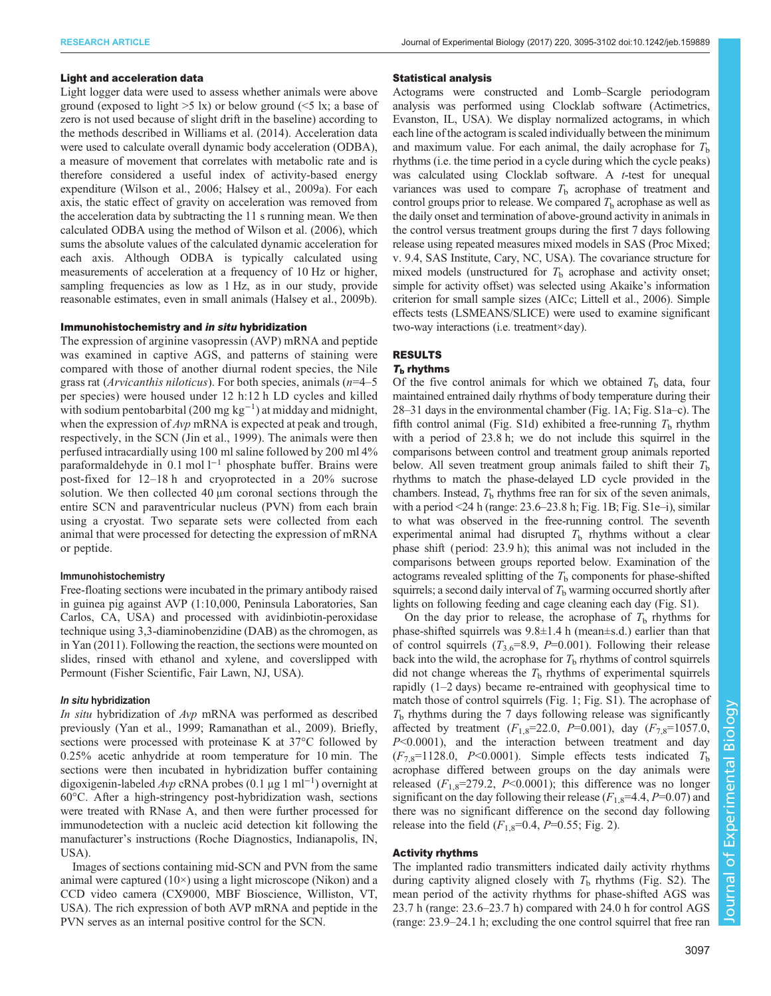## Light and acceleration data

Light logger data were used to assess whether animals were above ground (exposed to light  $>5$  lx) or below ground ( $\leq 5$  lx; a base of zero is not used because of slight drift in the baseline) according to the methods described in [Williams et al. \(2014\)](#page-7-0). Acceleration data were used to calculate overall dynamic body acceleration (ODBA), a measure of movement that correlates with metabolic rate and is therefore considered a useful index of activity-based energy expenditure ([Wilson et al., 2006; Halsey et al., 2009a\)](#page-7-0). For each axis, the static effect of gravity on acceleration was removed from the acceleration data by subtracting the 11 s running mean. We then calculated ODBA using the method of [Wilson et al. \(2006\),](#page-7-0) which sums the absolute values of the calculated dynamic acceleration for each axis. Although ODBA is typically calculated using measurements of acceleration at a frequency of 10 Hz or higher, sampling frequencies as low as 1 Hz, as in our study, provide reasonable estimates, even in small animals [\(Halsey et al., 2009b](#page-7-0)).

## Immunohistochemistry and in situ hybridization

The expression of arginine vasopressin (AVP) mRNA and peptide was examined in captive AGS, and patterns of staining were compared with those of another diurnal rodent species, the Nile grass rat (Arvicanthis niloticus). For both species, animals  $(n=4-5)$ per species) were housed under 12 h:12 h LD cycles and killed with sodium pentobarbital (200 mg kg−<sup>1</sup> ) at midday and midnight, when the expression of  $Avp$  mRNA is expected at peak and trough, respectively, in the SCN ([Jin et al., 1999\)](#page-7-0). The animals were then perfused intracardially using 100 ml saline followed by 200 ml 4% paraformaldehyde in 0.1 mol l<sup>-1</sup> phosphate buffer. Brains were post-fixed for 12–18 h and cryoprotected in a 20% sucrose solution. We then collected 40 μm coronal sections through the entire SCN and paraventricular nucleus (PVN) from each brain using a cryostat. Two separate sets were collected from each animal that were processed for detecting the expression of mRNA or peptide.

## Immunohistochemistry

Free-floating sections were incubated in the primary antibody raised in guinea pig against AVP (1:10,000, Peninsula Laboratories, San Carlos, CA, USA) and processed with avidinbiotin-peroxidase technique using 3,3-diaminobenzidine (DAB) as the chromogen, as in [Yan \(2011\)](#page-7-0). Following the reaction, the sections were mounted on slides, rinsed with ethanol and xylene, and coverslipped with Permount (Fisher Scientific, Fair Lawn, NJ, USA).

## In situ hybridization

In situ hybridization of Avp mRNA was performed as described previously ([Yan et al., 1999](#page-7-0); [Ramanathan et al., 2009\)](#page-7-0). Briefly, sections were processed with proteinase K at 37°C followed by 0.25% acetic anhydride at room temperature for 10 min. The sections were then incubated in hybridization buffer containing digoxigenin-labeled *Avp* cRNA probes  $(0.1 \mu g 1 \text{ ml}^{-1})$  overnight at 60°C A fter a high-stringency nost-hybridization wash sections 60°C. After a high-stringency post-hybridization wash, sections were treated with RNase A, and then were further processed for immunodetection with a nucleic acid detection kit following the manufacturer's instructions (Roche Diagnostics, Indianapolis, IN, USA).

Images of sections containing mid-SCN and PVN from the same animal were captured  $(10\times)$  using a light microscope (Nikon) and a CCD video camera (CX9000, MBF Bioscience, Williston, VT, USA). The rich expression of both AVP mRNA and peptide in the PVN serves as an internal positive control for the SCN.

## Statistical analysis

Actograms were constructed and Lomb–Scargle periodogram analysis was performed using Clocklab software (Actimetrics, Evanston, IL, USA). We display normalized actograms, in which each line of the actogram is scaled individually between the minimum and maximum value. For each animal, the daily acrophase for  $T<sub>b</sub>$ rhythms (i.e. the time period in a cycle during which the cycle peaks) was calculated using Clocklab software. A *t*-test for unequal variances was used to compare  $T<sub>b</sub>$  acrophase of treatment and control groups prior to release. We compared  $T<sub>b</sub>$  acrophase as well as the daily onset and termination of above-ground activity in animals in the control versus treatment groups during the first 7 days following release using repeated measures mixed models in SAS (Proc Mixed; v. 9.4, SAS Institute, Cary, NC, USA). The covariance structure for mixed models (unstructured for  $T<sub>b</sub>$  acrophase and activity onset; simple for activity offset) was selected using Akaike's information criterion for small sample sizes (AICc; [Littell et al., 2006](#page-7-0)). Simple effects tests (LSMEANS/SLICE) were used to examine significant two-way interactions (i.e. treatment×day).

# RESULTS

# $T<sub>b</sub>$  rhythms

Of the five control animals for which we obtained  $T<sub>b</sub>$  data, four maintained entrained daily rhythms of body temperature during their 28–31 days in the environmental chamber [\(Fig. 1A](#page-3-0); [Fig. S1a](http://jeb.biologists.org/lookup/doi/10.1242/jeb.159889.supplemental)–c). The fifth control animal ([Fig. S1d\)](http://jeb.biologists.org/lookup/doi/10.1242/jeb.159889.supplemental) exhibited a free-running  $T<sub>b</sub>$  rhythm with a period of 23.8 h; we do not include this squirrel in the comparisons between control and treatment group animals reported below. All seven treatment group animals failed to shift their  $T<sub>b</sub>$ rhythms to match the phase-delayed LD cycle provided in the chambers. Instead,  $T<sub>b</sub>$  rhythms free ran for six of the seven animals, with a period  $\leq$  24 h (range: 23.6–23.8 h; [Fig. 1](#page-3-0)B; [Fig. S1e](http://jeb.biologists.org/lookup/doi/10.1242/jeb.159889.supplemental)–i), similar to what was observed in the free-running control. The seventh experimental animal had disrupted  $T<sub>b</sub>$  rhythms without a clear phase shift (period: 23.9 h); this animal was not included in the comparisons between groups reported below. Examination of the actograms revealed splitting of the  $T<sub>b</sub>$  components for phase-shifted squirrels; a second daily interval of  $T<sub>b</sub>$  warming occurred shortly after lights on following feeding and cage cleaning each day [\(Fig. S1](http://jeb.biologists.org/lookup/doi/10.1242/jeb.159889.supplemental)).

On the day prior to release, the acrophase of  $T<sub>b</sub>$  rhythms for phase-shifted squirrels was  $9.8 \pm 1.4$  h (mean $\pm$ s.d.) earlier than that of control squirrels  $(T_{3.6}=8.9, P=0.001)$ . Following their release back into the wild, the acrophase for  $T<sub>b</sub>$  rhythms of control squirrels did not change whereas the  $T<sub>b</sub>$  rhythms of experimental squirrels rapidly (1–2 days) became re-entrained with geophysical time to match those of control squirrels ([Fig. 1;](#page-3-0) [Fig. S1](http://jeb.biologists.org/lookup/doi/10.1242/jeb.159889.supplemental)). The acrophase of  $T<sub>b</sub>$  rhythms during the 7 days following release was significantly affected by treatment  $(F_{1,8}=22.0, P=0.001)$ , day  $(F_{7,8}=1057.0,$ P<0.0001), and the interaction between treatment and day  $(F_{7,8}=1128.0, P<0.0001)$ . Simple effects tests indicated  $T_{\rm b}$ acrophase differed between groups on the day animals were released  $(F_{1,8}=279.2, P<0.0001)$ ; this difference was no longer significant on the day following their release ( $F_{1,8}$ =4.4, P=0.07) and there was no significant difference on the second day following release into the field  $(F_{1,8}=0.4, P=0.55;$  [Fig. 2](#page-3-0)).

# Activity rhythms

The implanted radio transmitters indicated daily activity rhythms during captivity aligned closely with  $T<sub>b</sub>$  rhythms ([Fig. S2\)](http://jeb.biologists.org/lookup/doi/10.1242/jeb.159889.supplemental). The mean period of the activity rhythms for phase-shifted AGS was 23.7 h (range: 23.6–23.7 h) compared with 24.0 h for control AGS (range: 23.9–24.1 h; excluding the one control squirrel that free ran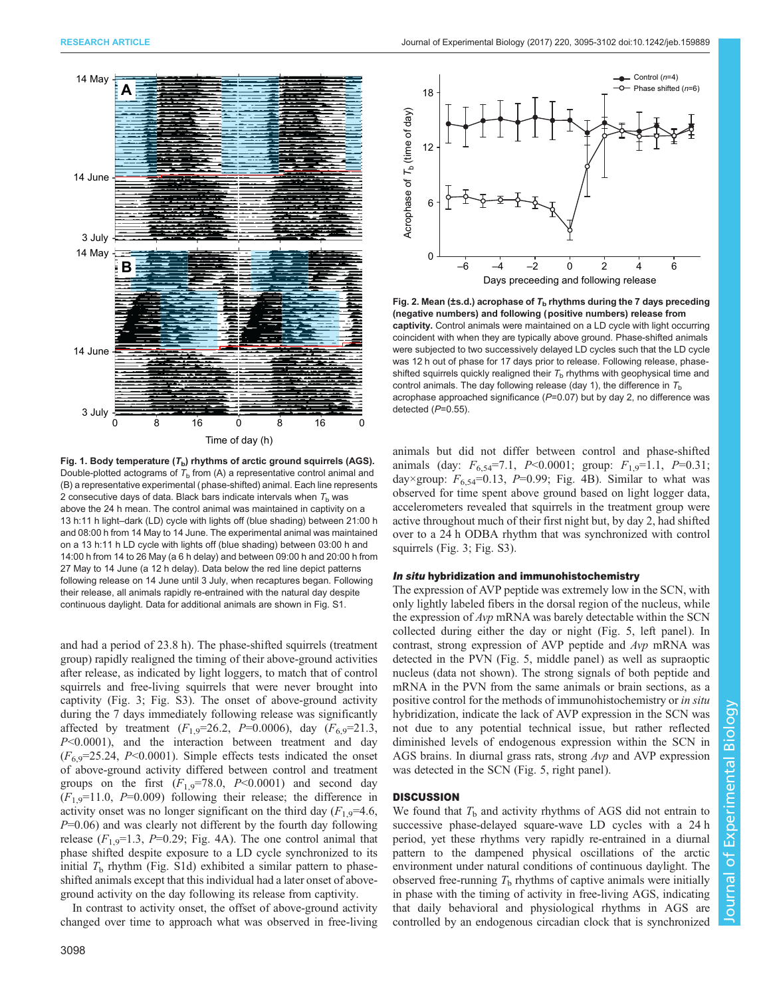<span id="page-3-0"></span>

Fig. 1. Body temperature  $(T_b)$  rhythms of arctic ground squirrels (AGS). Double-plotted actograms of  $T<sub>b</sub>$  from (A) a representative control animal and (B) a representative experimental (phase-shifted) animal. Each line represents 2 consecutive days of data. Black bars indicate intervals when  $T<sub>b</sub>$  was above the 24 h mean. The control animal was maintained in captivity on a 13 h:11 h light–dark (LD) cycle with lights off (blue shading) between 21:00 h and 08:00 h from 14 May to 14 June. The experimental animal was maintained on a 13 h:11 h LD cycle with lights off (blue shading) between 03:00 h and 14:00 h from 14 to 26 May (a 6 h delay) and between 09:00 h and 20:00 h from 27 May to 14 June (a 12 h delay). Data below the red line depict patterns following release on 14 June until 3 July, when recaptures began. Following their release, all animals rapidly re-entrained with the natural day despite continuous daylight. Data for additional animals are shown in [Fig. S1](http://jeb.biologists.org/lookup/doi/10.1242/jeb.159889.supplemental).

and had a period of 23.8 h). The phase-shifted squirrels (treatment group) rapidly realigned the timing of their above-ground activities after release, as indicated by light loggers, to match that of control squirrels and free-living squirrels that were never brought into captivity ([Fig. 3;](#page-4-0) [Fig. S3](http://jeb.biologists.org/lookup/doi/10.1242/jeb.159889.supplemental)). The onset of above-ground activity during the 7 days immediately following release was significantly affected by treatment  $(F_{1,9}=26.2, P=0.0006)$ , day  $(F_{6,9}=21.3,$ P<0.0001), and the interaction between treatment and day  $(F<sub>6.9</sub>=25.24, P<0.0001)$ . Simple effects tests indicated the onset of above-ground activity differed between control and treatment groups on the first  $(F_{1,9}=78.0, P<0.0001)$  and second day  $(F_{1,9}=11.0, P=0.009)$  following their release; the difference in activity onset was no longer significant on the third day  $(F_{1,9}=4.6,$  $P=0.06$ ) and was clearly not different by the fourth day following release  $(F_{1,9}=1.3, P=0.29;$  [Fig. 4A](#page-5-0)). The one control animal that phase shifted despite exposure to a LD cycle synchronized to its initial  $T<sub>b</sub>$  rhythm ([Fig. S1d\)](http://jeb.biologists.org/lookup/doi/10.1242/jeb.159889.supplemental) exhibited a similar pattern to phaseshifted animals except that this individual had a later onset of aboveground activity on the day following its release from captivity.

In contrast to activity onset, the offset of above-ground activity changed over time to approach what was observed in free-living



Fig. 2. Mean (±s.d.) acrophase of  $T_b$  rhythms during the 7 days preceding (negative numbers) and following (positive numbers) release from captivity. Control animals were maintained on a LD cycle with light occurring coincident with when they are typically above ground. Phase-shifted animals were subjected to two successively delayed LD cycles such that the LD cycle was 12 h out of phase for 17 days prior to release. Following release, phaseshifted squirrels quickly realigned their  $T<sub>b</sub>$  rhythms with geophysical time and control animals. The day following release (day 1), the difference in  $T<sub>b</sub>$ acrophase approached significance  $(P=0.07)$  but by day 2, no difference was detected (P=0.55).

animals but did not differ between control and phase-shifted animals (day:  $F_{6,54}$ =7.1, P<0.0001; group:  $F_{1,9}$ =1.1, P=0.31; day×group:  $F_{6,54}$ =0.13, P=0.99; [Fig. 4](#page-5-0)B). Similar to what was observed for time spent above ground based on light logger data, accelerometers revealed that squirrels in the treatment group were active throughout much of their first night but, by day 2, had shifted over to a 24 h ODBA rhythm that was synchronized with control squirrels ([Fig. 3](#page-4-0); [Fig. S3](http://jeb.biologists.org/lookup/doi/10.1242/jeb.159889.supplemental)).

#### In situ hybridization and immunohistochemistry

The expression of AVP peptide was extremely low in the SCN, with only lightly labeled fibers in the dorsal region of the nucleus, while the expression of Avp mRNA was barely detectable within the SCN collected during either the day or night ([Fig. 5](#page-5-0), left panel). In contrast, strong expression of AVP peptide and Avp mRNA was detected in the PVN ([Fig. 5,](#page-5-0) middle panel) as well as supraoptic nucleus (data not shown). The strong signals of both peptide and mRNA in the PVN from the same animals or brain sections, as a positive control for the methods of immunohistochemistry or in situ hybridization, indicate the lack of AVP expression in the SCN was not due to any potential technical issue, but rather reflected diminished levels of endogenous expression within the SCN in AGS brains. In diurnal grass rats, strong Avp and AVP expression was detected in the SCN [\(Fig. 5,](#page-5-0) right panel).

## **DISCUSSION**

We found that  $T<sub>b</sub>$  and activity rhythms of AGS did not entrain to successive phase-delayed square-wave LD cycles with a 24 h period, yet these rhythms very rapidly re-entrained in a diurnal pattern to the dampened physical oscillations of the arctic environment under natural conditions of continuous daylight. The observed free-running  $T<sub>b</sub>$  rhythms of captive animals were initially in phase with the timing of activity in free-living AGS, indicating that daily behavioral and physiological rhythms in AGS are controlled by an endogenous circadian clock that is synchronized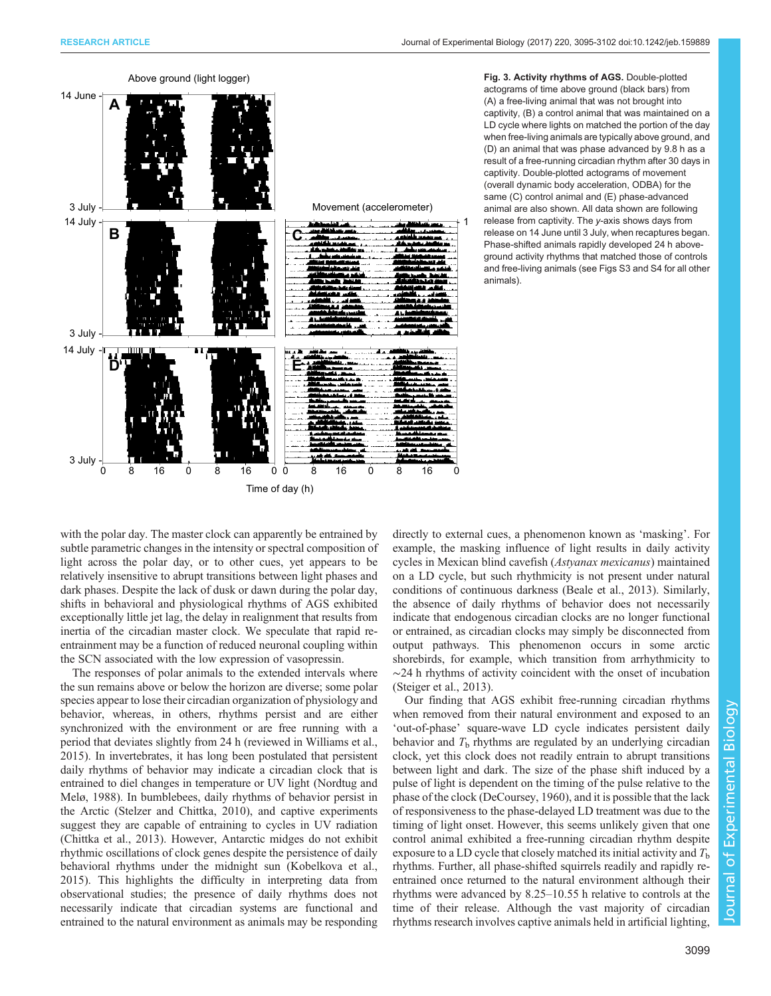

<span id="page-4-0"></span>

Fig. 3. Activity rhythms of AGS. Double-plotted actograms of time above ground (black bars) from (A) a free-living animal that was not brought into captivity, (B) a control animal that was maintained on a LD cycle where lights on matched the portion of the day when free-living animals are typically above ground, and (D) an animal that was phase advanced by 9.8 h as a result of a free-running circadian rhythm after 30 days in captivity. Double-plotted actograms of movement (overall dynamic body acceleration, ODBA) for the same (C) control animal and (E) phase-advanced animal are also shown. All data shown are following release from captivity. The y-axis shows days from release on 14 June until 3 July, when recaptures began. Phase-shifted animals rapidly developed 24 h aboveground activity rhythms that matched those of controls and free-living animals (see [Figs S3 and S4](http://jeb.biologists.org/lookup/doi/10.1242/jeb.159889.supplemental) for all other animals).

with the polar day. The master clock can apparently be entrained by subtle parametric changes in the intensity or spectral composition of light across the polar day, or to other cues, yet appears to be relatively insensitive to abrupt transitions between light phases and dark phases. Despite the lack of dusk or dawn during the polar day, shifts in behavioral and physiological rhythms of AGS exhibited exceptionally little jet lag, the delay in realignment that results from inertia of the circadian master clock. We speculate that rapid reentrainment may be a function of reduced neuronal coupling within the SCN associated with the low expression of vasopressin.

The responses of polar animals to the extended intervals where the sun remains above or below the horizon are diverse; some polar species appear to lose their circadian organization of physiology and behavior, whereas, in others, rhythms persist and are either synchronized with the environment or are free running with a period that deviates slightly from 24 h (reviewed in [Williams et al.,](#page-7-0) [2015](#page-7-0)). In invertebrates, it has long been postulated that persistent daily rhythms of behavior may indicate a circadian clock that is entrained to diel changes in temperature or UV light [\(Nordtug and](#page-7-0) [Melø, 1988](#page-7-0)). In bumblebees, daily rhythms of behavior persist in the Arctic [\(Stelzer and Chittka, 2010](#page-7-0)), and captive experiments suggest they are capable of entraining to cycles in UV radiation [\(Chittka et al., 2013\)](#page-6-0). However, Antarctic midges do not exhibit rhythmic oscillations of clock genes despite the persistence of daily behavioral rhythms under the midnight sun [\(Kobelkova et al.,](#page-7-0) [2015](#page-7-0)). This highlights the difficulty in interpreting data from observational studies; the presence of daily rhythms does not necessarily indicate that circadian systems are functional and entrained to the natural environment as animals may be responding directly to external cues, a phenomenon known as 'masking'. For example, the masking influence of light results in daily activity cycles in Mexican blind cavefish (Astyanax mexicanus) maintained on a LD cycle, but such rhythmicity is not present under natural conditions of continuous darkness ([Beale et al., 2013](#page-6-0)). Similarly, the absence of daily rhythms of behavior does not necessarily indicate that endogenous circadian clocks are no longer functional or entrained, as circadian clocks may simply be disconnected from output pathways. This phenomenon occurs in some arctic shorebirds, for example, which transition from arrhythmicity to ∼24 h rhythms of activity coincident with the onset of incubation [\(Steiger et al., 2013\)](#page-7-0).

Our finding that AGS exhibit free-running circadian rhythms when removed from their natural environment and exposed to an 'out-of-phase' square-wave LD cycle indicates persistent daily behavior and  $T<sub>b</sub>$  rhythms are regulated by an underlying circadian clock, yet this clock does not readily entrain to abrupt transitions between light and dark. The size of the phase shift induced by a pulse of light is dependent on the timing of the pulse relative to the phase of the clock ([DeCoursey, 1960\)](#page-6-0), and it is possible that the lack of responsiveness to the phase-delayed LD treatment was due to the timing of light onset. However, this seems unlikely given that one control animal exhibited a free-running circadian rhythm despite exposure to a LD cycle that closely matched its initial activity and  $T<sub>b</sub>$ rhythms. Further, all phase-shifted squirrels readily and rapidly reentrained once returned to the natural environment although their rhythms were advanced by 8.25–10.55 h relative to controls at the time of their release. Although the vast majority of circadian rhythms research involves captive animals held in artificial lighting,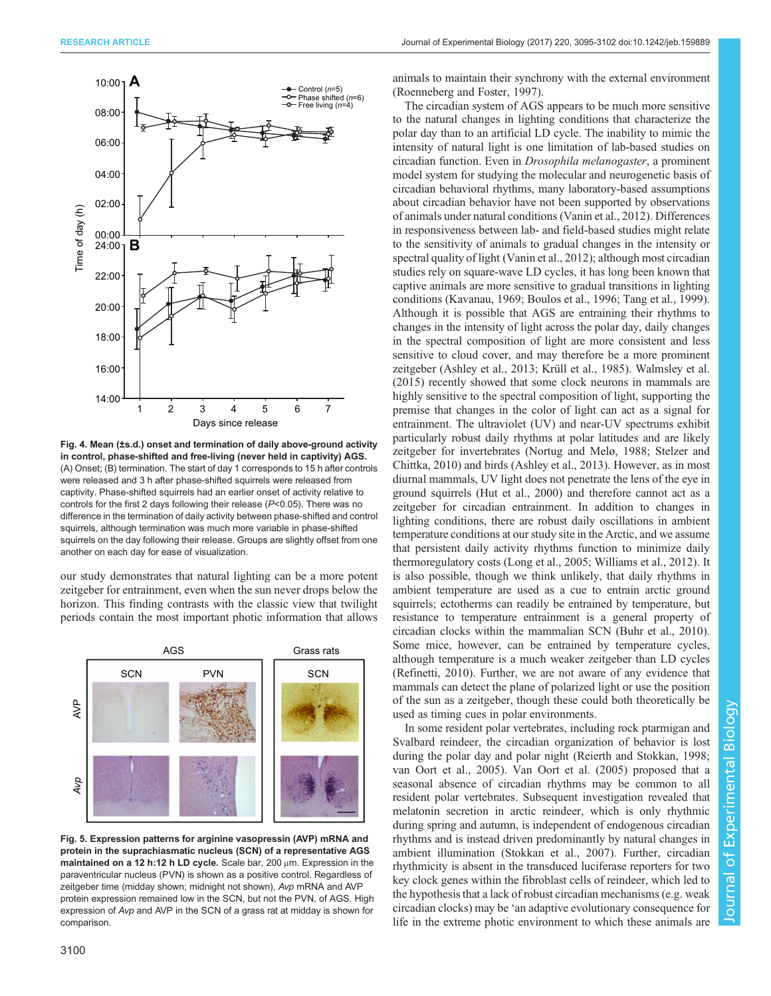<span id="page-5-0"></span>

Fig. 4. Mean (±s.d.) onset and termination of daily above-ground activity in control, phase-shifted and free-living (never held in captivity) AGS. (A) Onset; (B) termination. The start of day 1 corresponds to 15 h after controls were released and 3 h after phase-shifted squirrels were released from captivity. Phase-shifted squirrels had an earlier onset of activity relative to controls for the first 2 days following their release (P<0.05). There was no difference in the termination of daily activity between phase-shifted and control squirrels, although termination was much more variable in phase-shifted squirrels on the day following their release. Groups are slightly offset from one another on each day for ease of visualization.

our study demonstrates that natural lighting can be a more potent zeitgeber for entrainment, even when the sun never drops below the horizon. This finding contrasts with the classic view that twilight periods contain the most important photic information that allows



Fig. 5. Expression patterns for arginine vasopressin (AVP) mRNA and protein in the suprachiasmatic nucleus (SCN) of a representative AGS maintained on a 12 h:12 h LD cycle. Scale bar, 200 μm. Expression in the paraventricular nucleus (PVN) is shown as a positive control. Regardless of zeitgeber time (midday shown; midnight not shown), Avp mRNA and AVP protein expression remained low in the SCN, but not the PVN, of AGS. High expression of Avp and AVP in the SCN of a grass rat at midday is shown for comparison.

animals to maintain their synchrony with the external environment [\(Roenneberg and Foster, 1997\)](#page-7-0).

The circadian system of AGS appears to be much more sensitive to the natural changes in lighting conditions that characterize the polar day than to an artificial LD cycle. The inability to mimic the intensity of natural light is one limitation of lab-based studies on circadian function. Even in Drosophila melanogaster, a prominent model system for studying the molecular and neurogenetic basis of circadian behavioral rhythms, many laboratory-based assumptions about circadian behavior have not been supported by observations of animals under natural conditions ([Vanin et al., 2012](#page-7-0)). Differences in responsiveness between lab- and field-based studies might relate to the sensitivity of animals to gradual changes in the intensity or spectral quality of light [\(Vanin et al., 2012\)](#page-7-0); although most circadian studies rely on square-wave LD cycles, it has long been known that captive animals are more sensitive to gradual transitions in lighting conditions ([Kavanau, 1969;](#page-7-0) [Boulos et al., 1996](#page-6-0); [Tang et al., 1999\)](#page-7-0). Although it is possible that AGS are entraining their rhythms to changes in the intensity of light across the polar day, daily changes in the spectral composition of light are more consistent and less sensitive to cloud cover, and may therefore be a more prominent zeitgeber [\(Ashley et al., 2013;](#page-6-0) [Krüll et al., 1985](#page-7-0)). [Walmsley et al.](#page-7-0) [\(2015\)](#page-7-0) recently showed that some clock neurons in mammals are highly sensitive to the spectral composition of light, supporting the premise that changes in the color of light can act as a signal for entrainment. The ultraviolet (UV) and near-UV spectrums exhibit particularly robust daily rhythms at polar latitudes and are likely zeitgeber for invertebrates [\(Nortug and Melø, 1988; Stelzer and](#page-7-0) [Chittka, 2010](#page-7-0)) and birds [\(Ashley et al., 2013\)](#page-6-0). However, as in most diurnal mammals, UV light does not penetrate the lens of the eye in ground squirrels [\(Hut et al., 2000\)](#page-7-0) and therefore cannot act as a zeitgeber for circadian entrainment. In addition to changes in lighting conditions, there are robust daily oscillations in ambient temperature conditions at our study site in the Arctic, and we assume that persistent daily activity rhythms function to minimize daily thermoregulatory costs [\(Long et al., 2005](#page-7-0); [Williams et al., 2012\)](#page-7-0). It is also possible, though we think unlikely, that daily rhythms in ambient temperature are used as a cue to entrain arctic ground squirrels; ectotherms can readily be entrained by temperature, but resistance to temperature entrainment is a general property of circadian clocks within the mammalian SCN [\(Buhr et al., 2010\)](#page-6-0). Some mice, however, can be entrained by temperature cycles, although temperature is a much weaker zeitgeber than LD cycles [\(Refinetti, 2010\)](#page-7-0). Further, we are not aware of any evidence that mammals can detect the plane of polarized light or use the position of the sun as a zeitgeber, though these could both theoretically be used as timing cues in polar environments.

In some resident polar vertebrates, including rock ptarmigan and Svalbard reindeer, the circadian organization of behavior is lost during the polar day and polar night ([Reierth and Stokkan, 1998](#page-7-0); [van Oort et al., 2005\)](#page-7-0). [Van Oort et al. \(2005\)](#page-7-0) proposed that a seasonal absence of circadian rhythms may be common to all resident polar vertebrates. Subsequent investigation revealed that melatonin secretion in arctic reindeer, which is only rhythmic during spring and autumn, is independent of endogenous circadian rhythms and is instead driven predominantly by natural changes in ambient illumination [\(Stokkan et al., 2007](#page-7-0)). Further, circadian rhythmicity is absent in the transduced luciferase reporters for two key clock genes within the fibroblast cells of reindeer, which led to the hypothesis that a lack of robust circadian mechanisms (e.g. weak circadian clocks) may be 'an adaptive evolutionary consequence for life in the extreme photic environment to which these animals are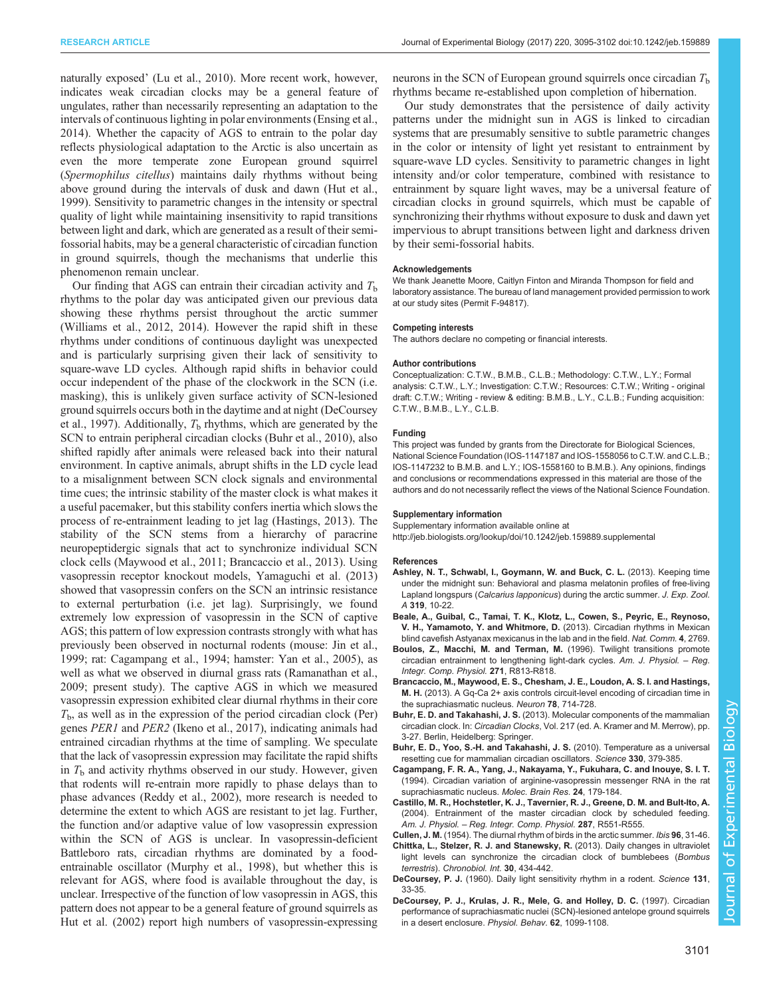<span id="page-6-0"></span>naturally exposed' [\(Lu et al., 2010](#page-7-0)). More recent work, however, indicates weak circadian clocks may be a general feature of ungulates, rather than necessarily representing an adaptation to the intervals of continuous lighting in polar environments [\(Ensing et al.,](#page-7-0) [2014](#page-7-0)). Whether the capacity of AGS to entrain to the polar day reflects physiological adaptation to the Arctic is also uncertain as even the more temperate zone European ground squirrel (Spermophilus citellus) maintains daily rhythms without being above ground during the intervals of dusk and dawn [\(Hut et al.,](#page-7-0) [1999](#page-7-0)). Sensitivity to parametric changes in the intensity or spectral quality of light while maintaining insensitivity to rapid transitions between light and dark, which are generated as a result of their semifossorial habits, may be a general characteristic of circadian function in ground squirrels, though the mechanisms that underlie this phenomenon remain unclear.

Our finding that AGS can entrain their circadian activity and  $T<sub>b</sub>$ rhythms to the polar day was anticipated given our previous data showing these rhythms persist throughout the arctic summer [\(Williams et al., 2012](#page-7-0), [2014\)](#page-7-0). However the rapid shift in these rhythms under conditions of continuous daylight was unexpected and is particularly surprising given their lack of sensitivity to square-wave LD cycles. Although rapid shifts in behavior could occur independent of the phase of the clockwork in the SCN (i.e. masking), this is unlikely given surface activity of SCN-lesioned ground squirrels occurs both in the daytime and at night (DeCoursey et al., 1997). Additionally,  $T<sub>b</sub>$  rhythms, which are generated by the SCN to entrain peripheral circadian clocks (Buhr et al., 2010), also shifted rapidly after animals were released back into their natural environment. In captive animals, abrupt shifts in the LD cycle lead to a misalignment between SCN clock signals and environmental time cues; the intrinsic stability of the master clock is what makes it a useful pacemaker, but this stability confers inertia which slows the process of re-entrainment leading to jet lag [\(Hastings, 2013\)](#page-7-0). The stability of the SCN stems from a hierarchy of paracrine neuropeptidergic signals that act to synchronize individual SCN clock cells ([Maywood et al., 2011](#page-7-0); Brancaccio et al., 2013). Using vasopressin receptor knockout models, [Yamaguchi et al. \(2013\)](#page-7-0) showed that vasopressin confers on the SCN an intrinsic resistance to external perturbation (i.e. jet lag). Surprisingly, we found extremely low expression of vasopressin in the SCN of captive AGS; this pattern of low expression contrasts strongly with what has previously been observed in nocturnal rodents (mouse: [Jin et al.,](#page-7-0) [1999](#page-7-0); rat: Cagampang et al., 1994; hamster: [Yan et al., 2005\)](#page-7-0), as well as what we observed in diurnal grass rats [\(Ramanathan et al.,](#page-7-0) [2009](#page-7-0); present study). The captive AGS in which we measured vasopressin expression exhibited clear diurnal rhythms in their core  $T<sub>b</sub>$ , as well as in the expression of the period circadian clock (Per) genes PER1 and PER2 [\(Ikeno et al., 2017\)](#page-7-0), indicating animals had entrained circadian rhythms at the time of sampling. We speculate that the lack of vasopressin expression may facilitate the rapid shifts in  $T<sub>b</sub>$  and activity rhythms observed in our study. However, given that rodents will re-entrain more rapidly to phase delays than to phase advances [\(Reddy et al., 2002\)](#page-7-0), more research is needed to determine the extent to which AGS are resistant to jet lag. Further, the function and/or adaptive value of low vasopressin expression within the SCN of AGS is unclear. In vasopressin-deficient Battleboro rats, circadian rhythms are dominated by a foodentrainable oscillator ([Murphy et al., 1998\)](#page-7-0), but whether this is relevant for AGS, where food is available throughout the day, is unclear. Irrespective of the function of low vasopressin in AGS, this pattern does not appear to be a general feature of ground squirrels as [Hut et al. \(2002\)](#page-7-0) report high numbers of vasopressin-expressing

neurons in the SCN of European ground squirrels once circadian  $T<sub>b</sub>$ rhythms became re-established upon completion of hibernation.

Our study demonstrates that the persistence of daily activity patterns under the midnight sun in AGS is linked to circadian systems that are presumably sensitive to subtle parametric changes in the color or intensity of light yet resistant to entrainment by square-wave LD cycles. Sensitivity to parametric changes in light intensity and/or color temperature, combined with resistance to entrainment by square light waves, may be a universal feature of circadian clocks in ground squirrels, which must be capable of synchronizing their rhythms without exposure to dusk and dawn yet impervious to abrupt transitions between light and darkness driven by their semi-fossorial habits.

## Acknowledgements

We thank Jeanette Moore, Caitlyn Finton and Miranda Thompson for field and laboratory assistance. The bureau of land management provided permission to work at our study sites (Permit F-94817).

#### Competing interests

The authors declare no competing or financial interests.

#### Author contributions

Conceptualization: C.T.W., B.M.B., C.L.B.; Methodology: C.T.W., L.Y.; Formal analysis: C.T.W., L.Y.; Investigation: C.T.W.; Resources: C.T.W.; Writing - original draft: C.T.W.; Writing - review & editing: B.M.B., L.Y., C.L.B.; Funding acquisition: C.T.W., B.M.B., L.Y., C.L.B.

### Funding

This project was funded by grants from the Directorate for Biological Sciences, National Science Foundation (IOS-1147187 and IOS-1558056 to C.T.W. and C.L.B.; IOS-1147232 to B.M.B. and L.Y.; IOS-1558160 to B.M.B.). Any opinions, findings and conclusions or recommendations expressed in this material are those of the authors and do not necessarily reflect the views of the National Science Foundation.

#### Supplementary information

Supplementary information available online at

<http://jeb.biologists.org/lookup/doi/10.1242/jeb.159889.supplemental>

#### References

- [Ashley, N. T., Schwabl, I., Goymann, W. and Buck, C. L.](http://dx.doi.org/10.1002/jez.1768) (2013). Keeping time [under the midnight sun: Behavioral and plasma melatonin profiles of free-living](http://dx.doi.org/10.1002/jez.1768) Lapland longspurs (Calcarius lapponicus[\) during the arctic summer.](http://dx.doi.org/10.1002/jez.1768) J. Exp. Zool. A 319[, 10-22.](http://dx.doi.org/10.1002/jez.1768)
- [Beale, A., Guibal, C., Tamai, T. K., Klotz, L., Cowen, S., Peyric, E., Reynoso,](http://dx.doi.org/10.1038/ncomms3769) [V. H., Yamamoto, Y. and Whitmore, D.](http://dx.doi.org/10.1038/ncomms3769) (2013). Circadian rhythms in Mexican [blind cavefish Astyanax mexicanus in the lab and in the field.](http://dx.doi.org/10.1038/ncomms3769) Nat. Comm. 4, 2769.
- Boulos, Z., Macchi, M. and Terman, M. (1996). Twilight transitions promote circadian entrainment to lengthening light-dark cycles. Am. J. Physiol. – Reg. Integr. Comp. Physiol. 271, R813-R818.
- [Brancaccio, M., Maywood, E. S., Chesham, J. E., Loudon, A. S. I. and Hastings,](http://dx.doi.org/10.1016/j.neuron.2013.03.011) M. H. [\(2013\). A Gq-Ca 2+ axis controls circuit-level encoding of circadian time in](http://dx.doi.org/10.1016/j.neuron.2013.03.011) [the suprachiasmatic nucleus.](http://dx.doi.org/10.1016/j.neuron.2013.03.011) Neuron 78, 714-728.
- Buhr, E. D. and Takahashi, J. S. (2013). Molecular components of the mammalian circadian clock. In: Circadian Clocks, Vol. 217 (ed. A. Kramer and M. Merrow), pp. 3-27. Berlin, Heidelberg: Springer.
- [Buhr, E. D., Yoo, S.-H. and Takahashi, J. S.](http://dx.doi.org/10.1126/science.1195262) (2010). Temperature as a universal [resetting cue for mammalian circadian oscillators.](http://dx.doi.org/10.1126/science.1195262) Science 330, 379-385.
- [Cagampang, F. R. A., Yang, J., Nakayama, Y., Fukuhara, C. and Inouye, S. I. T.](http://dx.doi.org/10.1016/0169-328X(94)90130-9) [\(1994\). Circadian variation of arginine-vasopressin messenger RNA in the rat](http://dx.doi.org/10.1016/0169-328X(94)90130-9) [suprachiasmatic nucleus.](http://dx.doi.org/10.1016/0169-328X(94)90130-9) Molec. Brain Res. 24, 179-184.
- [Castillo, M. R., Hochstetler, K. J., Tavernier, R. J., Greene, D. M. and Bult-Ito, A.](http://dx.doi.org/10.1152/ajpregu.00247.2004) [\(2004\). Entrainment of the master circadian clock by scheduled feeding.](http://dx.doi.org/10.1152/ajpregu.00247.2004) Am. J. Physiol. – [Reg. Integr. Comp. Physiol.](http://dx.doi.org/10.1152/ajpregu.00247.2004) 287, R551-R555.

Cullen, J. M. [\(1954\). The diurnal rhythm of birds in the arctic summer.](http://dx.doi.org/10.1111/j.1474-919X.1954.tb04109.x) Ibis 96, 31-46.

- [Chittka, L., Stelzer, R. J. and Stanewsky, R.](http://dx.doi.org/10.3109/07420528.2012.741168) (2013). Daily changes in ultraviolet [light levels can synchronize the circadian clock of bumblebees \(](http://dx.doi.org/10.3109/07420528.2012.741168)Bombus terrestris). [Chronobiol. Int.](http://dx.doi.org/10.3109/07420528.2012.741168) 30, 434-442.
- DeCoursey, P. J. [\(1960\). Daily light sensitivity rhythm in a rodent.](http://dx.doi.org/10.1126/science.131.3392.33) Science 131, [33-35.](http://dx.doi.org/10.1126/science.131.3392.33)
- [DeCoursey, P. J., Krulas, J. R., Mele, G. and Holley, D. C.](http://dx.doi.org/10.1016/S0031-9384(97)00263-1) (1997). Circadian [performance of suprachiasmatic nuclei \(SCN\)-lesioned antelope ground squirrels](http://dx.doi.org/10.1016/S0031-9384(97)00263-1) [in a desert enclosure.](http://dx.doi.org/10.1016/S0031-9384(97)00263-1) Physiol. Behav. 62, 1099-1108.